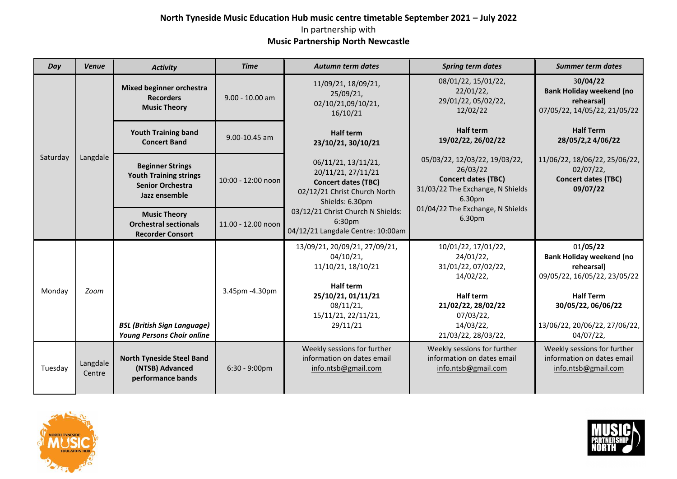## **North Tyneside Music Education Hub music centre timetable September 2021 – July 2022** In partnership with **Music Partnership North Newcastle**

| Day      | <b>Venue</b>       | <b>Activity</b>                                                                                      | <b>Time</b>             | <b>Autumn term dates</b>                                                                                                                                                                                       | <b>Spring term dates</b>                                                                                                                                        | <b>Summer term dates</b>                                                                                                                                                             |
|----------|--------------------|------------------------------------------------------------------------------------------------------|-------------------------|----------------------------------------------------------------------------------------------------------------------------------------------------------------------------------------------------------------|-----------------------------------------------------------------------------------------------------------------------------------------------------------------|--------------------------------------------------------------------------------------------------------------------------------------------------------------------------------------|
| Saturday | Langdale           | <b>Mixed beginner orchestra</b><br><b>Recorders</b><br><b>Music Theory</b>                           | $9.00 - 10.00$ am       | 11/09/21, 18/09/21,<br>25/09/21,<br>02/10/21,09/10/21,<br>16/10/21                                                                                                                                             | 08/01/22, 15/01/22,<br>$22/01/22$ ,<br>29/01/22, 05/02/22,<br>12/02/22                                                                                          | 30/04/22<br><b>Bank Holiday weekend (no</b><br>rehearsal)<br>07/05/22, 14/05/22, 21/05/22                                                                                            |
|          |                    | <b>Youth Training band</b><br><b>Concert Band</b>                                                    | $9.00 - 10.45$ am       | <b>Half term</b><br>23/10/21, 30/10/21                                                                                                                                                                         | <b>Half term</b><br>19/02/22, 26/02/22                                                                                                                          | <b>Half Term</b><br>28/05/2,2 4/06/22                                                                                                                                                |
|          |                    | <b>Beginner Strings</b><br><b>Youth Training strings</b><br><b>Senior Orchestra</b><br>Jazz ensemble | 10:00 - 12:00 noon      | 06/11/21, 13/11/21,<br>20/11/21, 27/11/21<br><b>Concert dates (TBC)</b><br>02/12/21 Christ Church North<br>Shields: 6.30pm<br>03/12/21 Christ Church N Shields:<br>6:30pm<br>04/12/21 Langdale Centre: 10:00am | 05/03/22, 12/03/22, 19/03/22,<br>26/03/22<br><b>Concert dates (TBC)</b><br>31/03/22 The Exchange, N Shields<br>6.30pm                                           | 11/06/22, 18/06/22, 25/06/22,<br>02/07/22,<br><b>Concert dates (TBC)</b><br>09/07/22                                                                                                 |
|          |                    | <b>Music Theory</b><br><b>Orchestral sectionals</b><br><b>Recorder Consort</b>                       | 11.00 - 12.00 noon      |                                                                                                                                                                                                                | 01/04/22 The Exchange, N Shields<br>6.30pm                                                                                                                      |                                                                                                                                                                                      |
| Monday   | Zoom               | <b>BSL (British Sign Language)</b><br><b>Young Persons Choir online</b>                              | 3.45pm -4.30pm          | 13/09/21, 20/09/21, 27/09/21,<br>04/10/21,<br>11/10/21, 18/10/21<br>Half term<br>25/10/21, 01/11/21<br>08/11/21,<br>15/11/21, 22/11/21,<br>29/11/21                                                            | 10/01/22, 17/01/22,<br>24/01/22,<br>31/01/22, 07/02/22,<br>14/02/22,<br><b>Half term</b><br>21/02/22, 28/02/22<br>07/03/22,<br>14/03/22,<br>21/03/22, 28/03/22, | 01/05/22<br><b>Bank Holiday weekend (no</b><br>rehearsal)<br>09/05/22, 16/05/22, 23/05/22<br><b>Half Term</b><br>30/05/22, 06/06/22<br>13/06/22, 20/06/22, 27/06/22,<br>$04/07/22$ , |
| Tuesday  | Langdale<br>Centre | <b>North Tyneside Steel Band</b><br>(NTSB) Advanced<br>performance bands                             | $6:30 - 9:00 \text{pm}$ | Weekly sessions for further<br>information on dates email<br>info.ntsb@gmail.com                                                                                                                               | Weekly sessions for further<br>information on dates email<br>info.ntsb@gmail.com                                                                                | Weekly sessions for further<br>information on dates email<br>info.ntsb@gmail.com                                                                                                     |